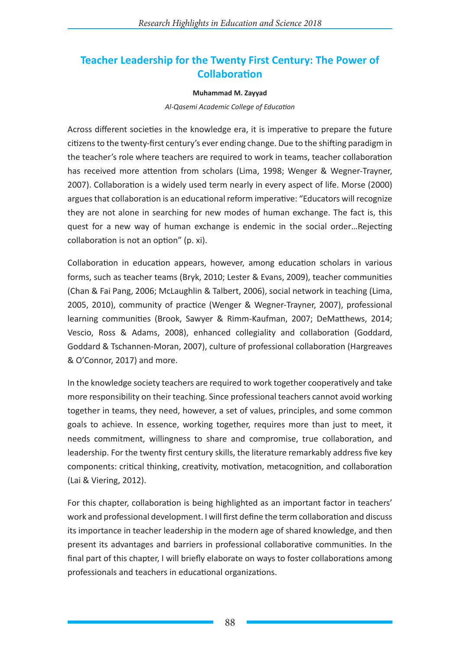# **Teacher Leadership for the Twenty First Century: The Power of Collaboration**

#### **Muhammad M. Zayyad**

*Al-Qasemi Academic College of Education*

Across different societies in the knowledge era, it is imperative to prepare the future citizens to the twenty-first century's ever ending change. Due to the shifting paradigm in the teacher's role where teachers are required to work in teams, teacher collaboration has received more attention from scholars (Lima, 1998; Wenger & Wegner-Trayner, 2007). Collaboration is a widely used term nearly in every aspect of life. Morse (2000) argues that collaboration is an educational reform imperative: "Educators will recognize they are not alone in searching for new modes of human exchange. The fact is, this quest for a new way of human exchange is endemic in the social order…Rejecting collaboration is not an option" (p. xi).

Collaboration in education appears, however, among education scholars in various forms, such as teacher teams (Bryk, 2010; Lester & Evans, 2009), teacher communities (Chan & Fai Pang, 2006; McLaughlin & Talbert, 2006), social network in teaching (Lima, 2005, 2010), community of practice (Wenger & Wegner-Trayner, 2007), professional learning communities (Brook, Sawyer & Rimm-Kaufman, 2007; DeMatthews, 2014; Vescio, Ross & Adams, 2008), enhanced collegiality and collaboration (Goddard, Goddard & Tschannen-Moran, 2007), culture of professional collaboration (Hargreaves & O'Connor, 2017) and more.

In the knowledge society teachers are required to work together cooperatively and take more responsibility on their teaching. Since professional teachers cannot avoid working together in teams, they need, however, a set of values, principles, and some common goals to achieve. In essence, working together, requires more than just to meet, it needs commitment, willingness to share and compromise, true collaboration, and leadership. For the twenty first century skills, the literature remarkably address five key components: critical thinking, creativity, motivation, metacognition, and collaboration (Lai & Viering, 2012).

For this chapter, collaboration is being highlighted as an important factor in teachers' work and professional development. I will first define the term collaboration and discuss its importance in teacher leadership in the modern age of shared knowledge, and then present its advantages and barriers in professional collaborative communities. In the final part of this chapter, I will briefly elaborate on ways to foster collaborations among professionals and teachers in educational organizations.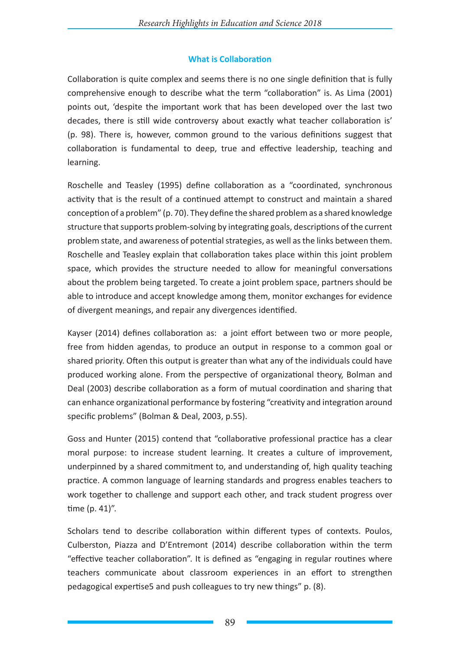# **What is Collaboration**

Collaboration is quite complex and seems there is no one single definition that is fully comprehensive enough to describe what the term "collaboration" is. As Lima (2001) points out, 'despite the important work that has been developed over the last two decades, there is still wide controversy about exactly what teacher collaboration is' (p. 98). There is, however, common ground to the various definitions suggest that collaboration is fundamental to deep, true and effective leadership, teaching and learning.

Roschelle and Teasley (1995) define collaboration as a "coordinated, synchronous activity that is the result of a continued attempt to construct and maintain a shared conception of a problem" (p. 70). They define the shared problem as a shared knowledge structure that supports problem-solving by integrating goals, descriptions of the current problem state, and awareness of potential strategies, as well as the links between them. Roschelle and Teasley explain that collaboration takes place within this joint problem space, which provides the structure needed to allow for meaningful conversations about the problem being targeted. To create a joint problem space, partners should be able to introduce and accept knowledge among them, monitor exchanges for evidence of divergent meanings, and repair any divergences identified.

Kayser (2014) defines collaboration as: a joint effort between two or more people, free from hidden agendas, to produce an output in response to a common goal or shared priority. Often this output is greater than what any of the individuals could have produced working alone. From the perspective of organizational theory, Bolman and Deal (2003) describe collaboration as a form of mutual coordination and sharing that can enhance organizational performance by fostering "creativity and integration around specific problems" (Bolman & Deal, 2003, p.55).

Goss and Hunter (2015) contend that "collaborative professional practice has a clear moral purpose: to increase student learning. It creates a culture of improvement, underpinned by a shared commitment to, and understanding of, high quality teaching practice. A common language of learning standards and progress enables teachers to work together to challenge and support each other, and track student progress over time (p. 41)".

Scholars tend to describe collaboration within different types of contexts. Poulos, Culberston, Piazza and D'Entremont (2014) describe collaboration within the term "effective teacher collaboration". It is defined as "engaging in regular routines where teachers communicate about classroom experiences in an effort to strengthen pedagogical expertise5 and push colleagues to try new things" p. (8).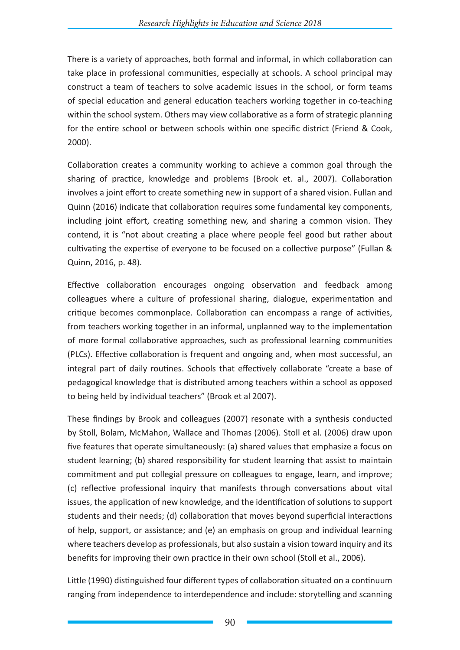There is a variety of approaches, both formal and informal, in which collaboration can take place in professional communities, especially at schools. A school principal may construct a team of teachers to solve academic issues in the school, or form teams of special education and general education teachers working together in co-teaching within the school system. Others may view collaborative as a form of strategic planning for the entire school or between schools within one specific district (Friend & Cook, 2000).

Collaboration creates a community working to achieve a common goal through the sharing of practice, knowledge and problems (Brook et. al., 2007). Collaboration involves a joint effort to create something new in support of a shared vision. Fullan and Quinn (2016) indicate that collaboration requires some fundamental key components, including joint effort, creating something new, and sharing a common vision. They contend, it is "not about creating a place where people feel good but rather about cultivating the expertise of everyone to be focused on a collective purpose" (Fullan & Quinn, 2016, p. 48).

Effective collaboration encourages ongoing observation and feedback among colleagues where a culture of professional sharing, dialogue, experimentation and critique becomes commonplace. Collaboration can encompass a range of activities, from teachers working together in an informal, unplanned way to the implementation of more formal collaborative approaches, such as professional learning communities (PLCs). Effective collaboration is frequent and ongoing and, when most successful, an integral part of daily routines. Schools that effectively collaborate "create a base of pedagogical knowledge that is distributed among teachers within a school as opposed to being held by individual teachers" (Brook et al 2007).

These findings by Brook and colleagues (2007) resonate with a synthesis conducted by Stoll, Bolam, McMahon, Wallace and Thomas (2006). Stoll et al. (2006) draw upon five features that operate simultaneously: (a) shared values that emphasize a focus on student learning; (b) shared responsibility for student learning that assist to maintain commitment and put collegial pressure on colleagues to engage, learn, and improve; (c) reflective professional inquiry that manifests through conversations about vital issues, the application of new knowledge, and the identification of solutions to support students and their needs; (d) collaboration that moves beyond superficial interactions of help, support, or assistance; and (e) an emphasis on group and individual learning where teachers develop as professionals, but also sustain a vision toward inquiry and its benefits for improving their own practice in their own school (Stoll et al., 2006).

Little (1990) distinguished four different types of collaboration situated on a continuum ranging from independence to interdependence and include: storytelling and scanning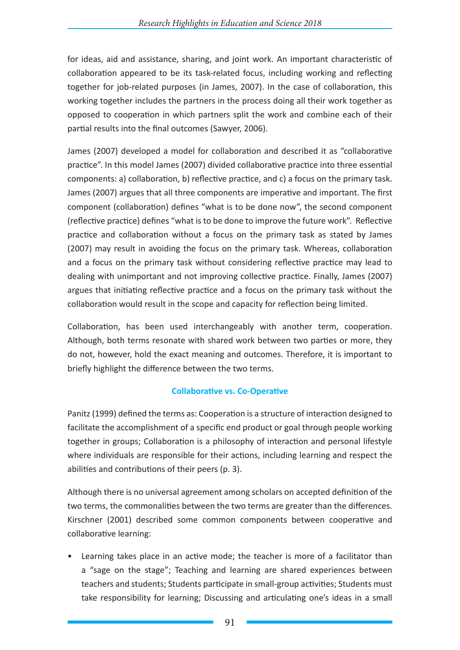for ideas, aid and assistance, sharing, and joint work. An important characteristic of collaboration appeared to be its task-related focus, including working and reflecting together for job-related purposes (in James, 2007). In the case of collaboration, this working together includes the partners in the process doing all their work together as opposed to cooperation in which partners split the work and combine each of their partial results into the final outcomes (Sawyer, 2006).

James (2007) developed a model for collaboration and described it as "collaborative practice". In this model James (2007) divided collaborative practice into three essential components: a) collaboration, b) reflective practice, and c) a focus on the primary task. James (2007) argues that all three components are imperative and important. The first component (collaboration) defines "what is to be done now", the second component (reflective practice) defines "what is to be done to improve the future work". Reflective practice and collaboration without a focus on the primary task as stated by James (2007) may result in avoiding the focus on the primary task. Whereas, collaboration and a focus on the primary task without considering reflective practice may lead to dealing with unimportant and not improving collective practice. Finally, James (2007) argues that initiating reflective practice and a focus on the primary task without the collaboration would result in the scope and capacity for reflection being limited.

Collaboration, has been used interchangeably with another term, cooperation. Although, both terms resonate with shared work between two parties or more, they do not, however, hold the exact meaning and outcomes. Therefore, it is important to briefly highlight the difference between the two terms.

# **Collaborative vs. Co-Operative**

Panitz (1999) defined the terms as: Cooperation is a structure of interaction designed to facilitate the accomplishment of a specific end product or goal through people working together in groups; Collaboration is a philosophy of interaction and personal lifestyle where individuals are responsible for their actions, including learning and respect the abilities and contributions of their peers (p. 3).

Although there is no universal agreement among scholars on accepted definition of the two terms, the commonalities between the two terms are greater than the differences. Kirschner (2001) described some common components between cooperative and collaborative learning:

• Learning takes place in an active mode; the teacher is more of a facilitator than a "sage on the stage"; Teaching and learning are shared experiences between teachers and students; Students participate in small-group activities; Students must take responsibility for learning; Discussing and articulating one's ideas in a small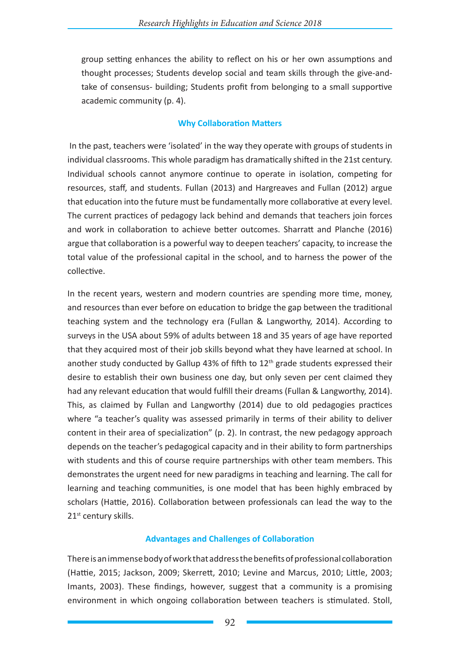group setting enhances the ability to reflect on his or her own assumptions and thought processes; Students develop social and team skills through the give-andtake of consensus- building; Students profit from belonging to a small supportive academic community (p. 4).

### **Why Collaboration Matters**

In the past, teachers were 'isolated' in the way they operate with groups of students in individual classrooms. This whole paradigm has dramatically shifted in the 21st century. Individual schools cannot anymore continue to operate in isolation, competing for resources, staff, and students. Fullan (2013) and Hargreaves and Fullan (2012) argue that education into the future must be fundamentally more collaborative at every level. The current practices of pedagogy lack behind and demands that teachers join forces and work in collaboration to achieve better outcomes. Sharratt and Planche (2016) argue that collaboration is a powerful way to deepen teachers' capacity, to increase the total value of the professional capital in the school, and to harness the power of the collective.

In the recent years, western and modern countries are spending more time, money, and resources than ever before on education to bridge the gap between the traditional teaching system and the technology era (Fullan & Langworthy, 2014). According to surveys in the USA about 59% of adults between 18 and 35 years of age have reported that they acquired most of their job skills beyond what they have learned at school. In another study conducted by Gallup 43% of fifth to 12<sup>th</sup> grade students expressed their desire to establish their own business one day, but only seven per cent claimed they had any relevant education that would fulfill their dreams (Fullan & Langworthy, 2014). This, as claimed by Fullan and Langworthy (2014) due to old pedagogies practices where "a teacher's quality was assessed primarily in terms of their ability to deliver content in their area of specialization" (p. 2). In contrast, the new pedagogy approach depends on the teacher's pedagogical capacity and in their ability to form partnerships with students and this of course require partnerships with other team members. This demonstrates the urgent need for new paradigms in teaching and learning. The call for learning and teaching communities, is one model that has been highly embraced by scholars (Hattie, 2016). Collaboration between professionals can lead the way to the 21<sup>st</sup> century skills.

## **Advantages and Challenges of Collaboration**

There is an immense body of work that address the benefits of professional collaboration (Hattie, 2015; Jackson, 2009; Skerrett, 2010; Levine and Marcus, 2010; Little, 2003; Imants, 2003). These findings, however, suggest that a community is a promising environment in which ongoing collaboration between teachers is stimulated. Stoll,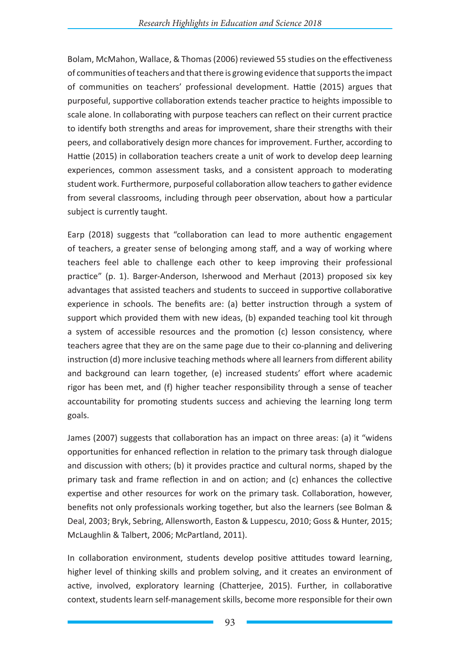Bolam, McMahon, Wallace, & Thomas (2006) reviewed 55 studies on the effectiveness of communities of teachers and that there is growing evidence that supports the impact of communities on teachers' professional development. Hattie (2015) argues that purposeful, supportive collaboration extends teacher practice to heights impossible to scale alone. In collaborating with purpose teachers can reflect on their current practice to identify both strengths and areas for improvement, share their strengths with their peers, and collaboratively design more chances for improvement. Further, according to Hattie (2015) in collaboration teachers create a unit of work to develop deep learning experiences, common assessment tasks, and a consistent approach to moderating student work. Furthermore, purposeful collaboration allow teachers to gather evidence from several classrooms, including through peer observation, about how a particular subject is currently taught.

Earp (2018) suggests that "collaboration can lead to more authentic engagement of teachers, a greater sense of belonging among staff, and a way of working where teachers feel able to challenge each other to keep improving their professional practice" (p. 1). Barger-Anderson, Isherwood and Merhaut (2013) proposed six key advantages that assisted teachers and students to succeed in supportive collaborative experience in schools. The benefits are: (a) better instruction through a system of support which provided them with new ideas, (b) expanded teaching tool kit through a system of accessible resources and the promotion (c) lesson consistency, where teachers agree that they are on the same page due to their co-planning and delivering instruction (d) more inclusive teaching methods where all learners from different ability and background can learn together, (e) increased students' effort where academic rigor has been met, and (f) higher teacher responsibility through a sense of teacher accountability for promoting students success and achieving the learning long term goals.

James (2007) suggests that collaboration has an impact on three areas: (a) it "widens opportunities for enhanced reflection in relation to the primary task through dialogue and discussion with others; (b) it provides practice and cultural norms, shaped by the primary task and frame reflection in and on action; and (c) enhances the collective expertise and other resources for work on the primary task. Collaboration, however, benefits not only professionals working together, but also the learners (see Bolman & Deal, 2003; Bryk, Sebring, Allensworth, Easton & Luppescu, 2010; Goss & Hunter, 2015; McLaughlin & Talbert, 2006; McPartland, 2011).

In collaboration environment, students develop positive attitudes toward learning, higher level of thinking skills and problem solving, and it creates an environment of active, involved, exploratory learning (Chatterjee, 2015). Further, in collaborative context, students learn self-management skills, become more responsible for their own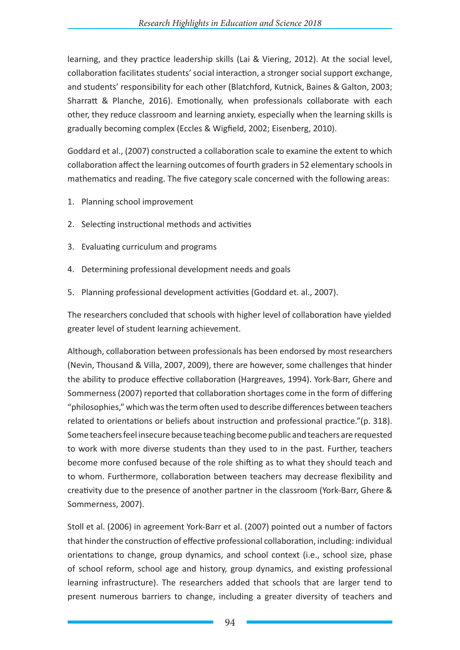learning, and they practice leadership skills (Lai & Viering, 2012). At the social level, collaboration facilitates students' social interaction, a stronger social support exchange, and students' responsibility for each other (Blatchford, Kutnick, Baines & Galton, 2003; Sharratt & Planche, 2016). Emotionally, when professionals collaborate with each other, they reduce classroom and learning anxiety, especially when the learning skills is gradually becoming complex (Eccles & Wigfield, 2002; Eisenberg, 2010).

Goddard et al., (2007) constructed a collaboration scale to examine the extent to which collaboration affect the learning outcomes of fourth graders in 52 elementary schools in mathematics and reading. The five category scale concerned with the following areas:

- 1. Planning school improvement
- 2. Selecting instructional methods and activities
- 3. Evaluating curriculum and programs
- 4. Determining professional development needs and goals
- 5. Planning professional development activities (Goddard et. al., 2007).

The researchers concluded that schools with higher level of collaboration have yielded greater level of student learning achievement.

Although, collaboration between professionals has been endorsed by most researchers (Nevin, Thousand & Villa, 2007, 2009), there are however, some challenges that hinder the ability to produce effective collaboration (Hargreaves, 1994). York-Barr, Ghere and Sommerness (2007) reported that collaboration shortages come in the form of differing "philosophies," which was the term often used to describe differences between teachers related to orientations or beliefs about instruction and professional practice."(p. 318). Some teachers feel insecure because teaching become public and teachers are requested to work with more diverse students than they used to in the past. Further, teachers become more confused because of the role shifting as to what they should teach and to whom. Furthermore, collaboration between teachers may decrease flexibility and creativity due to the presence of another partner in the classroom (York-Barr, Ghere & Sommerness, 2007).

Stoll et al. (2006) in agreement York-Barr et al. (2007) pointed out a number of factors that hinder the construction of effective professional collaboration, including: individual orientations to change, group dynamics, and school context (i.e., school size, phase of school reform, school age and history, group dynamics, and existing professional learning infrastructure). The researchers added that schools that are larger tend to present numerous barriers to change, including a greater diversity of teachers and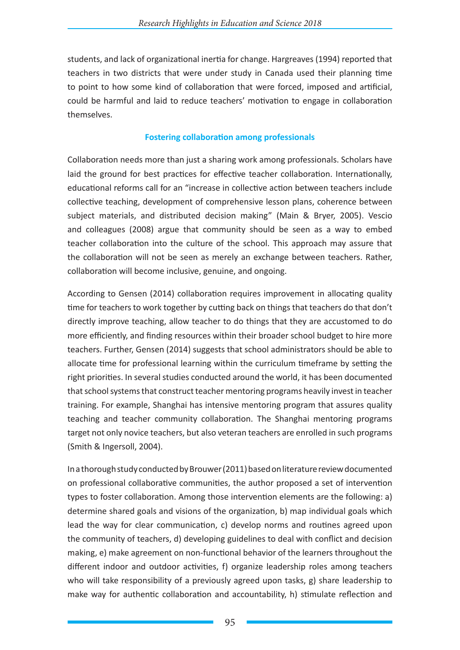students, and lack of organizational inertia for change. Hargreaves (1994) reported that teachers in two districts that were under study in Canada used their planning time to point to how some kind of collaboration that were forced, imposed and artificial, could be harmful and laid to reduce teachers' motivation to engage in collaboration themselves.

### **Fostering collaboration among professionals**

Collaboration needs more than just a sharing work among professionals. Scholars have laid the ground for best practices for effective teacher collaboration. Internationally, educational reforms call for an "increase in collective action between teachers include collective teaching, development of comprehensive lesson plans, coherence between subject materials, and distributed decision making" (Main & Bryer, 2005). Vescio and colleagues (2008) argue that community should be seen as a way to embed teacher collaboration into the culture of the school. This approach may assure that the collaboration will not be seen as merely an exchange between teachers. Rather, collaboration will become inclusive, genuine, and ongoing.

According to Gensen (2014) collaboration requires improvement in allocating quality time for teachers to work together by cutting back on things that teachers do that don't directly improve teaching, allow teacher to do things that they are accustomed to do more efficiently, and finding resources within their broader school budget to hire more teachers. Further, Gensen (2014) suggests that school administrators should be able to allocate time for professional learning within the curriculum timeframe by setting the right priorities. In several studies conducted around the world, it has been documented that school systems that construct teacher mentoring programs heavily invest in teacher training. For example, Shanghai has intensive mentoring program that assures quality teaching and teacher community collaboration. The Shanghai mentoring programs target not only novice teachers, but also veteran teachers are enrolled in such programs (Smith & Ingersoll, 2004).

In a thorough study conducted by Brouwer (2011) based on literature review documented on professional collaborative communities, the author proposed a set of intervention types to foster collaboration. Among those intervention elements are the following: a) determine shared goals and visions of the organization, b) map individual goals which lead the way for clear communication, c) develop norms and routines agreed upon the community of teachers, d) developing guidelines to deal with conflict and decision making, e) make agreement on non-functional behavior of the learners throughout the different indoor and outdoor activities, f) organize leadership roles among teachers who will take responsibility of a previously agreed upon tasks, g) share leadership to make way for authentic collaboration and accountability, h) stimulate reflection and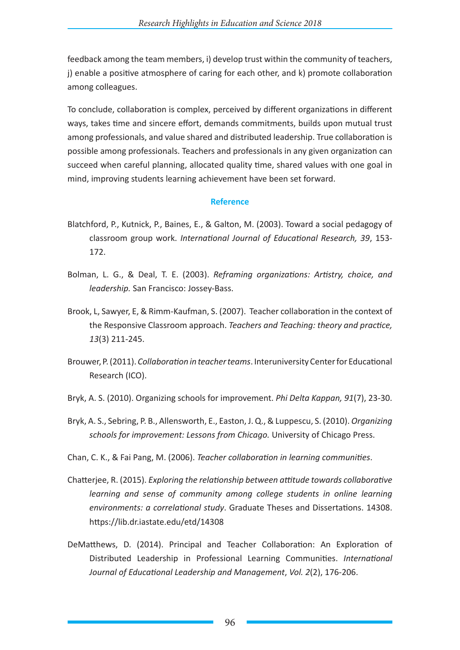feedback among the team members, i) develop trust within the community of teachers, j) enable a positive atmosphere of caring for each other, and k) promote collaboration among colleagues.

To conclude, collaboration is complex, perceived by different organizations in different ways, takes time and sincere effort, demands commitments, builds upon mutual trust among professionals, and value shared and distributed leadership. True collaboration is possible among professionals. Teachers and professionals in any given organization can succeed when careful planning, allocated quality time, shared values with one goal in mind, improving students learning achievement have been set forward.

#### **Reference**

- Blatchford, P., Kutnick, P., Baines, E., & Galton, M. (2003). Toward a social pedagogy of classroom group work. *International Journal of Educational Research, 39*, 153- 172.
- Bolman, L. G., & Deal, T. E. (2003). *Reframing organizations: Artistry, choice, and leadership.* San Francisco: Jossey-Bass.
- Brook, L, Sawyer, E, & Rimm-Kaufman, S. (2007). Teacher collaboration in the context of the Responsive Classroom approach. *Teachers and Teaching: theory and practice, 13*(3) 211-245.
- Brouwer, P. (2011). *Collaboration in teacher teams*. Interuniversity Center for Educational Research (ICO).
- Bryk, A. S. (2010). Organizing schools for improvement. *Phi Delta Kappan, 91*(7), 23-30.
- Bryk, A. S., Sebring, P. B., Allensworth, E., Easton, J. Q., & Luppescu, S. (2010). *Organizing schools for improvement: Lessons from Chicago.* University of Chicago Press.
- Chan, C. K., & Fai Pang, M. (2006). *Teacher collaboration in learning communities*.
- Chatterjee, R. (2015). *Exploring the relationship between attitude towards collaborative learning and sense of community among college students in online learning environments: a correlational study*. Graduate Theses and Dissertations. 14308. https://lib.dr.iastate.edu/etd/14308
- DeMatthews, D. (2014). Principal and Teacher Collaboration: An Exploration of Distributed Leadership in Professional Learning Communities. *International Journal of Educational Leadership and Management*, *Vol. 2*(2), 176-206.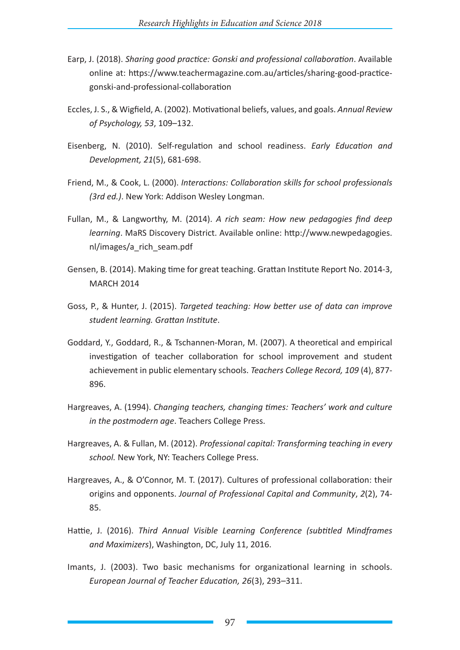- Earp, J. (2018). *Sharing good practice: Gonski and professional collaboration*. Available online at: https://www.teachermagazine.com.au/articles/sharing-good-practicegonski-and-professional-collaboration
- Eccles, J. S., & Wigfield, A. (2002). Motivational beliefs, values, and goals. *Annual Review of Psychology, 53*, 109–132.
- Eisenberg, N. (2010). Self-regulation and school readiness. *Early Education and Development, 21*(5), 681-698.
- Friend, M., & Cook, L. (2000). *Interactions: Collaboration skills for school professionals (3rd ed.)*. New York: Addison Wesley Longman.
- Fullan, M., & Langworthy, M. (2014). *A rich seam: How new pedagogies find deep learning*. MaRS Discovery District. Available online: http://www.newpedagogies. nl/images/a\_rich\_seam.pdf
- Gensen, B. (2014). Making time for great teaching. Grattan Institute Report No. 2014-3, MARCH 2014
- Goss, P., & Hunter, J. (2015). *Targeted teaching: How better use of data can improve student learning. Grattan Institute*.
- Goddard, Y., Goddard, R., & Tschannen-Moran, M. (2007). A theoretical and empirical investigation of teacher collaboration for school improvement and student achievement in public elementary schools. *Teachers College Record, 109* (4), 877- 896.
- Hargreaves, A. (1994). *Changing teachers, changing times: Teachers' work and culture in the postmodern age*. Teachers College Press.
- Hargreaves, A. & Fullan, M. (2012). *Professional capital: Transforming teaching in every school.* New York, NY: Teachers College Press.
- Hargreaves, A., & O'Connor, M. T. (2017). Cultures of professional collaboration: their origins and opponents. *Journal of Professional Capital and Community*, *2*(2), 74- 85.
- Hattie, J. (2016). *Third Annual Visible Learning Conference (subtitled Mindframes and Maximizers*), Washington, DC, July 11, 2016.
- Imants, J. (2003). Two basic mechanisms for organizational learning in schools. *European Journal of Teacher Education, 26*(3), 293–311.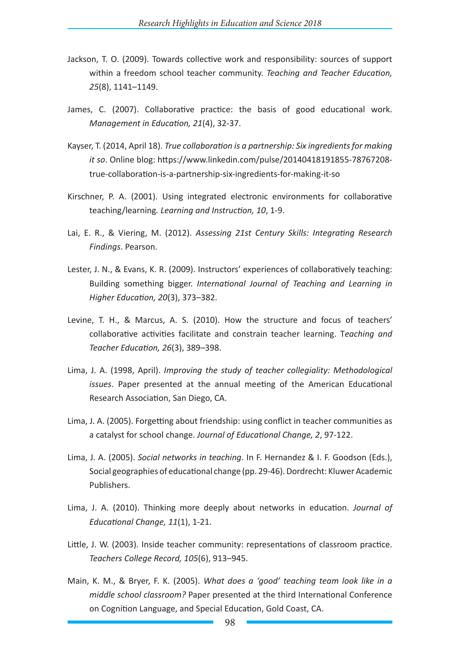- Jackson, T. O. (2009). Towards collective work and responsibility: sources of support within a freedom school teacher community. *Teaching and Teacher Education, 25*(8), 1141–1149.
- James, C. (2007). Collaborative practice: the basis of good educational work. *Management in Education, 21*(4), 32-37.
- Kayser, T. (2014, April 18). *True collaboration is a partnership: Six ingredients for making it so*. Online blog: https://www.linkedin.com/pulse/20140418191855-78767208 true-collaboration-is-a-partnership-six-ingredients-for-making-it-so
- Kirschner, P. A. (2001). Using integrated electronic environments for collaborative teaching/learning*. Learning and Instruction, 10*, 1-9.
- Lai, E. R., & Viering, M. (2012). *Assessing 21st Century Skills: Integrating Research Findings*. Pearson.
- Lester, J. N., & Evans, K. R. (2009). Instructors' experiences of collaboratively teaching: Building something bigger. *International Journal of Teaching and Learning in Higher Education, 20*(3), 373–382.
- Levine, T. H., & Marcus, A. S. (2010). How the structure and focus of teachers' collaborative activities facilitate and constrain teacher learning. T*eaching and Teacher Education, 26*(3), 389–398.
- Lima, J. A. (1998, April). *Improving the study of teacher collegiality: Methodological issues*. Paper presented at the annual meeting of the American Educational Research Association, San Diego, CA.
- Lima, J. A. (2005). Forgetting about friendship: using conflict in teacher communities as a catalyst for school change. *Journal of Educational Change, 2*, 97-122.
- Lima, J. A. (2005). *Social networks in teaching*. In F. Hernandez & I. F. Goodson (Eds.), Social geographies of educational change (pp. 29-46). Dordrecht: Kluwer Academic Publishers.
- Lima, J. A. (2010). Thinking more deeply about networks in education. *Journal of Educational Change, 11*(1), 1-21.
- Little, J. W. (2003). Inside teacher community: representations of classroom practice. *Teachers College Record, 105*(6), 913–945.
- Main, K. M., & Bryer, F. K. (2005). *What does a 'good' teaching team look like in a middle school classroom?* Paper presented at the third International Conference on Cognition Language, and Special Education, Gold Coast, CA.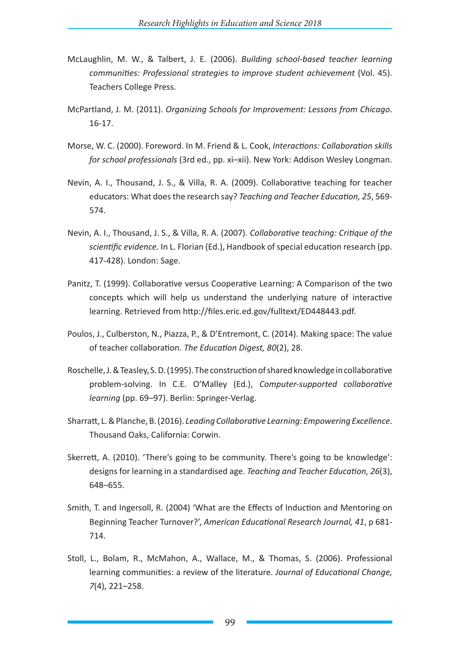- McLaughlin, M. W., & Talbert, J. E. (2006). *Building school-based teacher learning communities: Professional strategies to improve student achievement* (Vol. 45). Teachers College Press.
- McPartland, J. M. (2011). *Organizing Schools for Improvement: Lessons from Chicago*. 16-17.
- Morse, W. C. (2000). Foreword. In M. Friend & L. Cook, *Interactions: Collaboration skills for school professionals* (3rd ed., pp. xi–xii). New York: Addison Wesley Longman.
- Nevin, A. I., Thousand, J. S., & Villa, R. A. (2009). Collaborative teaching for teacher educators: What does the research say? *Teaching and Teacher Education, 25*, 569- 574.
- Nevin, A. I., Thousand, J. S., & Villa, R. A. (2007). *Collaborative teaching: Critique of the scientific evidence.* In L. Florian (Ed.), Handbook of special education research (pp. 417-428). London: Sage.
- Panitz, T. (1999). Collaborative versus Cooperative Learning: A Comparison of the two concepts which will help us understand the underlying nature of interactive learning. Retrieved from http://files.eric.ed.gov/fulltext/ED448443.pdf.
- Poulos, J., Culberston, N., Piazza, P., & D'Entremont, C. (2014). Making space: The value of teacher collaboration. *The Education Digest, 80*(2), 28.
- Roschelle, J. & Teasley, S. D. (1995). The construction of shared knowledge in collaborative problem-solving. In C.E. O'Malley (Ed.), *Computer-supported collaborative learning* (pp. 69–97). Berlin: Springer-Verlag.
- Sharratt, L. & Planche, B. (2016). *Leading Collaborative Learning: Empowering Excellence*. Thousand Oaks, California: Corwin.
- Skerrett, A. (2010). 'There's going to be community. There's going to be knowledge': designs for learning in a standardised age. *Teaching and Teacher Education, 26*(3), 648–655.
- Smith, T. and Ingersoll, R. (2004) 'What are the Effects of Induction and Mentoring on Beginning Teacher Turnover?', *American Educational Research Journal, 41*, p 681- 714.
- Stoll, L., Bolam, R., McMahon, A., Wallace, M., & Thomas, S. (2006). Professional learning communities: a review of the literature. *Journal of Educational Change, 7*(4), 221–258.